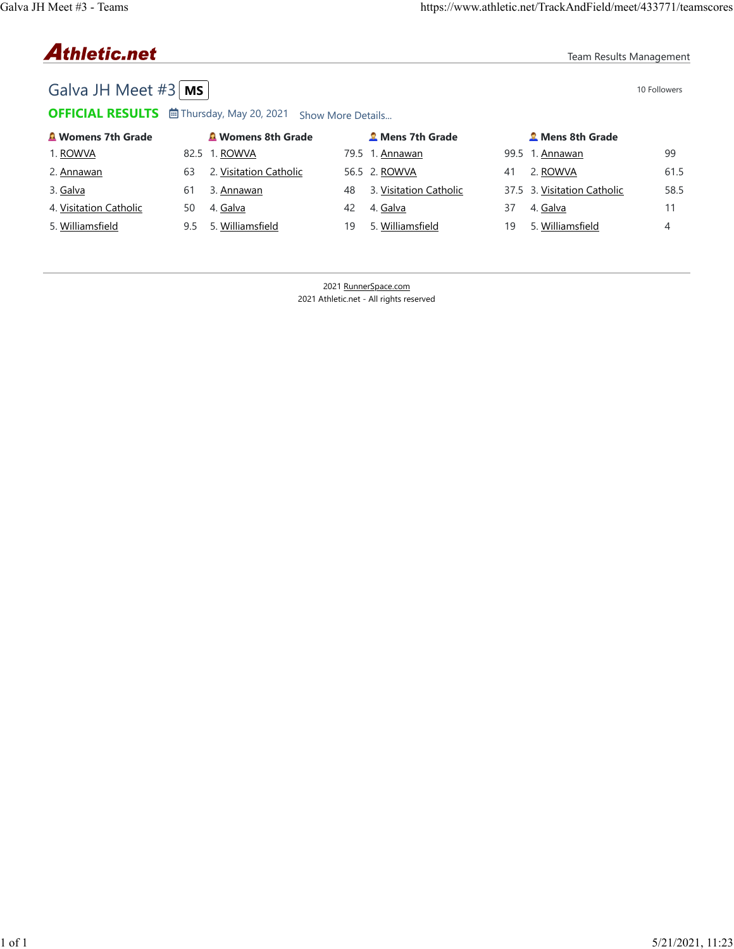# **Athletic.net**

Team Results Management

## Galva JH Meet  $#3$   $\boxed{\text{MS}}$

OFFICIAL RESULTS **茴 Thursday, May 20, 2021** Show More Details...

| <b>A Womens 7th Grade</b> |     | <b>A</b> Womens 8th Grade |    | <b>2</b> Mens 7th Grade |    | <b>2</b> Mens 8th Grade     |      |
|---------------------------|-----|---------------------------|----|-------------------------|----|-----------------------------|------|
| 1. ROWVA                  |     | 82.5 1. ROWVA             |    | 79.5 1. Annawan         |    | 99.5 1. Annawan             | 99   |
| 2. Annawan                | 63  | 2. Visitation Catholic    |    | 56.5 2. ROWVA           | 41 | 2. ROWVA                    | 61.5 |
| 3. Galva                  | 61  | 3. Annawan                | 48 | 3. Visitation Catholic  |    | 37.5 3. Visitation Catholic | 58.5 |
| 4. Visitation Catholic    | 50  | 4. Galva                  | 42 | 4. Galva                | 37 | 4. Galva                    |      |
| 5. Williamsfield          | 9.5 | 5. Williamsfield          | 19 | 5. Williamsfield        | 19 | 5. Williamsfield            | 4    |

2021 RunnerSpace.com 2021 Athletic.net - All rights reserved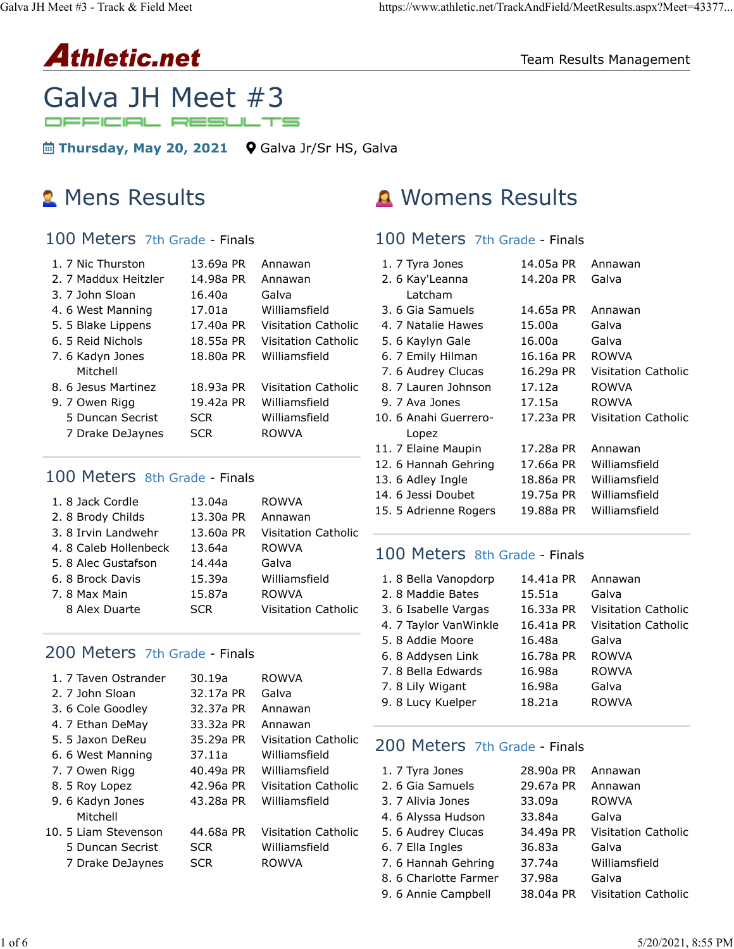

## Galva JH Meet #3 OFFICIAL RESULTS

**in Thursday, May 20, 2021 Q** Galva Jr/Sr HS, Galva

## 100 Meters 7th Grade - Finals

| 1. 7 Nic Thurston<br>2. 7 Maddux Heitzler<br>3. 7 John Sloan<br>4.6 West Manning<br>5. 5 Blake Lippens<br>6. 5 Reid Nichols | 13.69a PR<br>14.98a PR<br>16.40a<br>17.01a<br>17.40a PR<br>18.55a PR | Annawan<br>Annawan<br>Galva<br>Williamsfield<br>Visitation Catholic<br><b>Visitation Catholic</b> |
|-----------------------------------------------------------------------------------------------------------------------------|----------------------------------------------------------------------|---------------------------------------------------------------------------------------------------|
| 7.6 Kadyn Jones<br>Mitchell                                                                                                 | 18.80a PR                                                            | Williamsfield                                                                                     |
| 8. 6 Jesus Martinez                                                                                                         | 18.93a PR                                                            | Visitation Catholic                                                                               |
| 9. 7 Owen Rigg                                                                                                              | 19.42a PR                                                            | Williamsfield                                                                                     |
| 5 Duncan Secrist                                                                                                            | <b>SCR</b>                                                           | Williamsfield                                                                                     |
| 7 Drake DeJaynes                                                                                                            | <b>SCR</b>                                                           | <b>ROWVA</b>                                                                                      |

## 100 Meters 8th Grade - Finals

| 1.8 Jack Cordle      | 13.04a     | <b>ROWVA</b>               |
|----------------------|------------|----------------------------|
| 2. 8 Brody Childs    | 13.30a PR  | Annawan                    |
| 3.8 Irvin Landwehr   | 13.60a PR  | <b>Visitation Catholic</b> |
| 4.8 Caleb Hollenbeck | 13.64a     | <b>ROWVA</b>               |
| 5.8 Alec Gustafson   | 14.44a     | Galva                      |
| 6. 8 Brock Davis     | 15.39a     | Williamsfield              |
| 7. 8 Max Main        | 15.87a     | <b>ROWVA</b>               |
| 8 Alex Duarte        | <b>SCR</b> | <b>Visitation Catholic</b> |
|                      |            |                            |

## 200 Meters 7th Grade - Finals

| 1. 7 Taven Ostrander | 30.19a     | <b>ROWVA</b>               |
|----------------------|------------|----------------------------|
| 2. 7 John Sloan      | 32.17a PR  | Galva                      |
| 3.6 Cole Goodley     | 32.37a PR  | Annawan                    |
| 4. 7 Ethan DeMay     | 33.32a PR  | Annawan                    |
| 5.5 Jaxon DeReu      | 35.29a PR  | Visitation Catholic        |
| 6.6 West Manning     | 37.11a     | Williamsfield              |
| 7. 7 Owen Rigg       | 40.49a PR  | Williamsfield              |
| 8. 5 Roy Lopez       | 42.96a PR  | <b>Visitation Catholic</b> |
| 9.6 Kadyn Jones      | 43.28a PR  | Williamsfield              |
| Mitchell             |            |                            |
| 10. 5 Liam Stevenson | 44.68a PR  | <b>Visitation Catholic</b> |
| 5 Duncan Secrist     | <b>SCR</b> | Williamsfield              |
| 7 Drake DeJaynes     | SCR        | <b>ROWVA</b>               |
|                      |            |                            |

# **2** Mens Results **A** Womens Results

## 100 Meters 7th Grade - Finals

| 1. 7 Tyra Jones       | 14.05a PR | Annawan             |
|-----------------------|-----------|---------------------|
| 2. 6 Kay'Leanna       | 14.20a PR | Galva               |
| Latcham               |           |                     |
| 3. 6 Gia Samuels      | 14.65a PR | Annawan             |
| 4. 7 Natalie Hawes    | 15.00a    | Galva               |
| 5. 6 Kaylyn Gale      | 16.00a    | Galva               |
| 6. 7 Emily Hilman     | 16.16a PR | ROWVA               |
| 7. 6 Audrey Clucas    | 16.29a PR | Visitation Catholic |
| 8. 7 Lauren Johnson   | 17.12a    | ROWVA               |
| 9. 7 Ava Jones        | 17.15a    | ROWVA               |
| 10. 6 Anahi Guerrero- | 17.23a PR | Visitation Catholic |
| Lopez                 |           |                     |
| 11. 7 Elaine Maupin   | 17.28a PR | Annawan             |
| 12. 6 Hannah Gehring  | 17.66a PR | Williamsfield       |
| 13. 6 Adley Ingle     | 18.86a PR | Williamsfield       |
| 14. 6 Jessi Doubet    | 19.75a PR | Williamsfield       |
| 15. 5 Adrienne Rogers | 19.88a PR | Williamsfield       |
|                       |           |                     |

## 100 Meters 8th Grade - Finals

| 1.8 Bella Vanopdorp   | 14.41a PR | Annawan                    |
|-----------------------|-----------|----------------------------|
| 2.8 Maddie Bates      | 15.51a    | Galva                      |
| 3. 6 Isabelle Vargas  | 16.33a PR | <b>Visitation Catholic</b> |
| 4. 7 Taylor VanWinkle | 16.41a PR | <b>Visitation Catholic</b> |
| 5. 8 Addie Moore      | 16.48a    | Galva                      |
| 6.8 Addysen Link      | 16.78a PR | <b>ROWVA</b>               |
| 7. 8 Bella Edwards    | 16.98a    | <b>ROWVA</b>               |
| 7. 8 Lily Wigant      | 16.98a    | Galva                      |
| 9. 8 Lucy Kuelper     | 18.21a    | <b>ROWVA</b>               |

## 200 Meters 7th Grade - Finals

| 1. 7 Tyra Jones       | 28,90a PR | Annawan                    |
|-----------------------|-----------|----------------------------|
| 2. 6 Gia Samuels      | 29.67a PR | Annawan                    |
| 3. 7 Alivia Jones     | 33.09a    | <b>ROWVA</b>               |
| 4.6 Alyssa Hudson     | 33.84a    | Galva                      |
| 5. 6 Audrey Clucas    | 34.49a PR | <b>Visitation Catholic</b> |
| 6. 7 Ella Ingles      | 36,83a    | Galva                      |
| 7.6 Hannah Gehring    | 37.74a    | Williamsfield              |
| 8. 6 Charlotte Farmer | 37.98a    | Galva                      |
| 9. 6 Annie Campbell   | 38.04a PR | <b>Visitation Catholic</b> |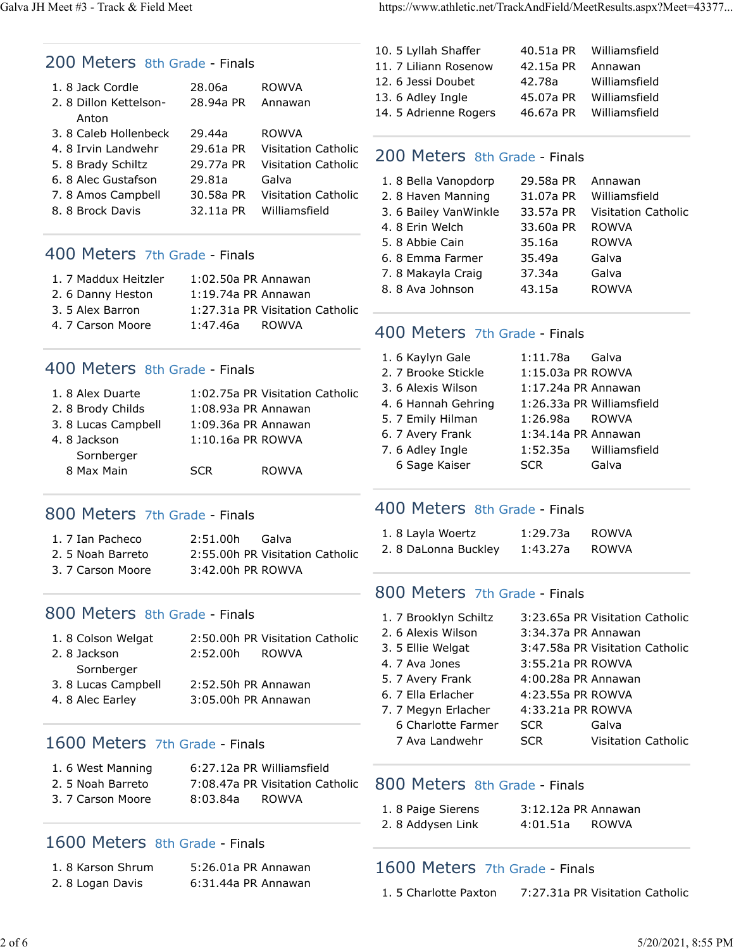#### 200 Meters 8th Grade - Finals

| 1. 8 Jack Cordle      | 28.06a    | <b>ROWVA</b>               |
|-----------------------|-----------|----------------------------|
| 2.8 Dillon Kettelson- | 28.94a PR | Annawan                    |
| Anton                 |           |                            |
| 3.8 Caleb Hollenbeck  | 29.44a    | <b>ROWVA</b>               |
| 4. 8 Irvin Landwehr   | 29.61a PR | Visitation Catholic        |
| 5. 8 Brady Schiltz    | 29.77a PR | <b>Visitation Catholic</b> |
| 6.8 Alec Gustafson    | 29.81a    | Galva                      |
| 7.8 Amos Campbell     | 30.58a PR | <b>Visitation Catholic</b> |
| 8. 8 Brock Davis      | 32.11a PR | Williamsfield              |
|                       |           |                            |

## 400 Meters 7th Grade - Finals

| 1. 7 Maddux Heitzler | $1:02.50a$ PR Annawan |                                 |
|----------------------|-----------------------|---------------------------------|
| 2. 6 Danny Heston    | 1:19.74a PR Annawan   |                                 |
| 3. 5 Alex Barron     |                       | 1:27.31a PR Visitation Catholic |
| 4. 7 Carson Moore    | 1:47.46a              | ROWVA                           |

#### 400 Meters 8th Grade - Finals

| 1.8 Alex Duarte    | 1:02.75a PR Visitation Catholic |  |
|--------------------|---------------------------------|--|
| 2.8 Brody Childs   | 1:08.93a PR Annawan             |  |
| 3.8 Lucas Campbell | 1:09.36a PR Annawan             |  |
| 4.8 Jackson        | 1:10.16a PR ROWVA               |  |
| Sornberger         |                                 |  |
| 8 Max Main         | <b>ROWVA</b><br><b>SCR</b>      |  |
|                    |                                 |  |

## 800 Meters 7th Grade - Finals

| 1. 7 Ian Pacheco  | 2:51.00h          | - Galva                         |
|-------------------|-------------------|---------------------------------|
| 2.5 Noah Barreto  |                   | 2:55.00h PR Visitation Catholic |
| 3. 7 Carson Moore | 3:42.00h PR ROWVA |                                 |

## 800 Meters 8th Grade - Finals

| 1.8 Colson Welgat  |                     | 2:50.00h PR Visitation Catholic |
|--------------------|---------------------|---------------------------------|
| 2.8 Jackson        | 2:52.00h            | ROWVA                           |
| Sornberger         |                     |                                 |
| 3.8 Lucas Campbell | 2:52.50h PR Annawan |                                 |
| 4. 8 Alec Earley   | 3:05.00h PR Annawan |                                 |
|                    |                     |                                 |

## 1600 Meters 7th Grade - Finals

|  | 1.6 West Manning  |          | 6:27.12a PR Williamsfield       |
|--|-------------------|----------|---------------------------------|
|  | 2. 5 Noah Barreto |          | 7:08.47a PR Visitation Catholic |
|  | 3. 7 Carson Moore | 8:03.84a | ROWVA                           |

## 1600 Meters 8th Grade - Finals

| 1.8 Karson Shrum | 5:26.01a PR Annawan |
|------------------|---------------------|
| 2.8 Logan Davis  | 6:31.44a PR Annawan |

| 10. 5 Lyllah Shaffer  | 40.51a PR | Williamsfield |
|-----------------------|-----------|---------------|
| 11. 7 Liliann Rosenow | 42.15a PR | Annawan       |
| 12. 6 Jessi Doubet    | 42.78a    | Williamsfield |
| 13. 6 Adley Ingle     | 45.07a PR | Williamsfield |
| 14. 5 Adrienne Rogers | 46.67a PR | Williamsfield |
|                       |           |               |

## 200 Meters 8th Grade - Finals

| 1.8 Bella Vanopdorp   | 29.58a PR | Annawan                    |
|-----------------------|-----------|----------------------------|
| 2.8 Haven Manning     | 31.07a PR | Williamsfield              |
| 3. 6 Bailey VanWinkle | 33.57a PR | <b>Visitation Catholic</b> |
| 4.8 Erin Welch        | 33.60a PR | <b>ROWVA</b>               |
| 5.8 Abbie Cain        | 35.16a    | <b>ROWVA</b>               |
| 6.8 Emma Farmer       | 35.49a    | Galva                      |
| 7.8 Makayla Craig     | 37.34a    | Galva                      |
| 8.8 Ava Johnson       | 43.15a    | <b>ROWVA</b>               |
|                       |           |                            |

## 400 Meters 7th Grade - Finals

| 1.6 Kaylyn Gale     | 1:11.78a Galva        |                           |
|---------------------|-----------------------|---------------------------|
| 2. 7 Brooke Stickle | 1:15.03a PR ROWVA     |                           |
| 3. 6 Alexis Wilson  | 1:17.24a PR Annawan   |                           |
| 4.6 Hannah Gehring  |                       | 1:26.33a PR Williamsfield |
| 5. 7 Emily Hilman   | 1:26.98a ROWVA        |                           |
| 6. 7 Avery Frank    | $1:34.14a$ PR Annawan |                           |
| 7.6 Adley Ingle     |                       | 1:52.35a Williamsfield    |
| 6 Sage Kaiser       | <b>SCR</b>            | Galva                     |

## 400 Meters 8th Grade - Finals

| 1.8 Layla Woertz     | 1:29.73a | ROWVA |
|----------------------|----------|-------|
| 2. 8 DaLonna Buckley | 1:43.27a | ROWVA |

## 800 Meters 7th Grade - Finals

| 1. 7 Brooklyn Schiltz |                   | 3:23.65a PR Visitation Catholic |  |
|-----------------------|-------------------|---------------------------------|--|
| 2. 6 Alexis Wilson    |                   | 3:34.37a PR Annawan             |  |
| 3. 5 Ellie Welgat     |                   | 3:47.58a PR Visitation Catholic |  |
| 4. 7 Ava Jones        | 3:55.21a PR ROWVA |                                 |  |
| 5. 7 Avery Frank      |                   | 4:00.28a PR Annawan             |  |
| 6. 7 Ella Erlacher    | 4:23.55a PR ROWVA |                                 |  |
| 7. 7 Megyn Erlacher   | 4:33.21a PR ROWVA |                                 |  |
| 6 Charlotte Farmer    | <b>SCR</b>        | Galva                           |  |
| 7 Ava Landwehr        | <b>SCR</b>        | <b>Visitation Catholic</b>      |  |
|                       |                   |                                 |  |

## 800 Meters 8th Grade - Finals

| 1.8 Paige Sierens | 3:12.12a PR Annawan |              |
|-------------------|---------------------|--------------|
| 2.8 Addysen Link  | 4:01.51a            | <b>ROWVA</b> |

## 1600 Meters 7th Grade - Finals

1. 5 Charlotte Paxton 7:27.31a PR Visitation Catholic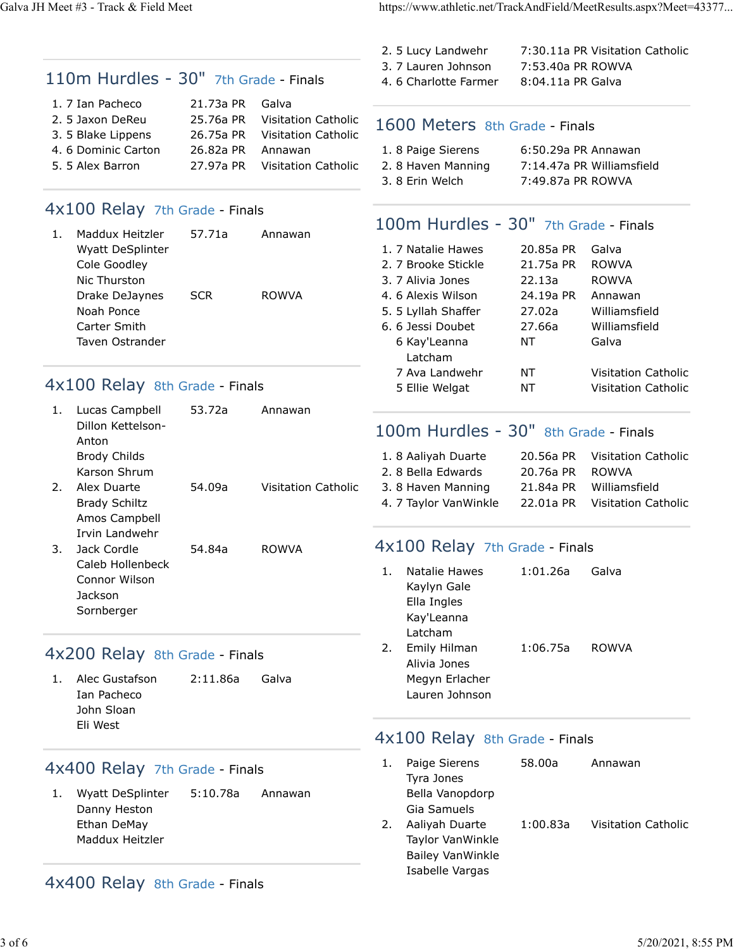Galva JH Meet #3 - Track & Field Meet https://www.athletic.net/TrackAndField/MeetResults.aspx?Meet=43377...

|    |                                         |                        |                                     | 2. 5 Lucy Landwehr                           |                                        | 7:30.11a PR Visitation Catholic |
|----|-----------------------------------------|------------------------|-------------------------------------|----------------------------------------------|----------------------------------------|---------------------------------|
|    | 110m Hurdles - 30" 7th Grade - Finals   |                        |                                     | 3. 7 Lauren Johnson<br>4. 6 Charlotte Farmer | 7:53.40a PR ROWVA<br>8:04.11a PR Galva |                                 |
|    |                                         |                        |                                     |                                              |                                        |                                 |
|    | 1. 7 Ian Pacheco<br>2. 5 Jaxon DeReu    | 21.73a PR<br>25.76a PR | Galva<br><b>Visitation Catholic</b> |                                              |                                        |                                 |
|    | 3. 5 Blake Lippens                      | 26.75a PR              | <b>Visitation Catholic</b>          | 1600 Meters 8th Grade - Finals               |                                        |                                 |
|    | 4. 6 Dominic Carton                     | 26.82a PR              | Annawan                             | 1.8 Paige Sierens                            | 6:50.29a PR Annawan                    |                                 |
|    | 5. 5 Alex Barron                        | 27.97a PR              | <b>Visitation Catholic</b>          | 2.8 Haven Manning                            |                                        | 7:14.47a PR Williamsfield       |
|    |                                         |                        |                                     | 3.8 Erin Welch                               | 7:49.87a PR ROWVA                      |                                 |
|    | 4x100 Relay 7th Grade - Finals          |                        |                                     |                                              |                                        |                                 |
| 1. | Maddux Heitzler                         | 57.71a                 | Annawan                             | 100m Hurdles - 30" 7th Grade - Finals        |                                        |                                 |
|    | Wyatt DeSplinter                        |                        |                                     | 1. 7 Natalie Hawes                           | 20.85a PR                              | Galva                           |
|    | Cole Goodley                            |                        |                                     | 2. 7 Brooke Stickle                          | 21.75a PR                              | <b>ROWVA</b>                    |
|    | Nic Thurston                            |                        |                                     | 3. 7 Alivia Jones                            | 22.13a                                 | <b>ROWVA</b>                    |
|    | Drake DeJaynes                          | <b>SCR</b>             | <b>ROWVA</b>                        | 4.6 Alexis Wilson                            | 24.19a PR                              | Annawan                         |
|    | Noah Ponce                              |                        |                                     | 5. 5 Lyllah Shaffer                          | 27.02a                                 | Williamsfield                   |
|    | Carter Smith                            |                        |                                     | 6. 6 Jessi Doubet                            | 27.66a                                 | Williamsfield                   |
|    | Taven Ostrander                         |                        |                                     | 6 Kay'Leanna<br>Latcham                      | NT                                     | Galva                           |
|    |                                         |                        |                                     | 7 Ava Landwehr                               | NT                                     | <b>Visitation Catholic</b>      |
|    | 4x100 Relay 8th Grade - Finals          |                        |                                     | 5 Ellie Welgat                               | ΝT                                     | Visitation Catholic             |
| 1. | Lucas Campbell                          | 53.72a                 | Annawan                             |                                              |                                        |                                 |
|    | Dillon Kettelson-                       |                        |                                     | 100m Hurdles - 30" 8th Grade - Finals        |                                        |                                 |
|    | Anton<br><b>Brody Childs</b>            |                        |                                     | 1.8 Aaliyah Duarte                           | 20.56a PR                              | <b>Visitation Catholic</b>      |
|    | Karson Shrum                            |                        |                                     | 2.8 Bella Edwards                            | 20.76a PR                              | <b>ROWVA</b>                    |
| 2. | Alex Duarte                             | 54.09a                 | <b>Visitation Catholic</b>          | 3.8 Haven Manning                            | 21.84a PR                              | Williamsfield                   |
|    | <b>Brady Schiltz</b>                    |                        |                                     | 4. 7 Taylor VanWinkle                        | 22.01a PR                              | <b>Visitation Catholic</b>      |
|    | Amos Campbell                           |                        |                                     |                                              |                                        |                                 |
|    | Irvin Landwehr                          |                        |                                     |                                              |                                        |                                 |
| 3. | Jack Cordle                             | 54.84a                 | <b>ROWVA</b>                        | 4x100 Relay 7th Grade - Finals               |                                        |                                 |
|    | Caleb Hollenbeck                        |                        |                                     | Natalie Hawes<br>1.                          | 1:01.26a                               | Galva                           |
|    | Connor Wilson                           |                        |                                     | Kaylyn Gale                                  |                                        |                                 |
|    | Jackson                                 |                        |                                     | Ella Ingles                                  |                                        |                                 |
|    | Sornberger                              |                        |                                     | Kay'Leanna                                   |                                        |                                 |
|    |                                         |                        |                                     | Latcham                                      |                                        |                                 |
|    | 4x200 Relay 8th Grade - Finals          |                        |                                     | Emily Hilman<br>2.<br>Alivia Jones           | 1:06.75a                               | <b>ROWVA</b>                    |
| 1. | Alec Gustafson                          | 2:11.86a               | Galva                               | Megyn Erlacher                               |                                        |                                 |
|    | Ian Pacheco                             |                        |                                     | Lauren Johnson                               |                                        |                                 |
|    | John Sloan<br>Eli West                  |                        |                                     |                                              |                                        |                                 |
|    |                                         |                        |                                     | 4x100 Relay 8th Grade - Finals               |                                        |                                 |
|    | 4x400 Relay 7th Grade - Finals          |                        |                                     | Paige Sierens<br>1.                          | 58.00a                                 | Annawan                         |
| 1. |                                         | 5:10.78a               |                                     | Tyra Jones<br>Bella Vanopdorp                |                                        |                                 |
|    | <b>Wyatt DeSplinter</b><br>Danny Heston |                        | Annawan                             | Gia Samuels                                  |                                        |                                 |
|    | Ethan DeMay                             |                        |                                     | Aaliyah Duarte<br>2.                         | 1:00.83a                               | <b>Visitation Catholic</b>      |
|    | Maddux Heitzler                         |                        |                                     | Taylor VanWinkle                             |                                        |                                 |

Bailey VanWinkle Isabelle Vargas

4x400 Relay 8th Grade - Finals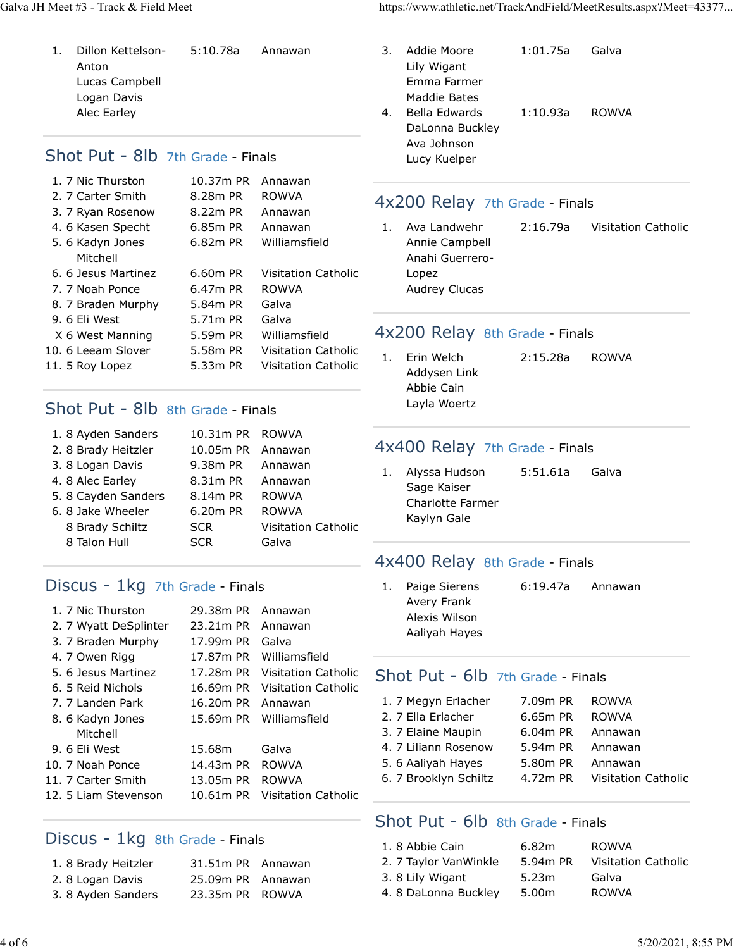1. Dillon Kettelson-Anton Lucas Campbell Logan Davis Alec Earley 5:10.78a Annawan

## Shot Put - 8lb 7th Grade - Finals

| 1. 7 Nic Thurston  | 10.37m PR | Annawan                    |
|--------------------|-----------|----------------------------|
| 2. 7 Carter Smith  | 8.28m PR  | ROWVA                      |
| 3. 7 Ryan Rosenow  | 8.22m PR  | Annawan                    |
| 4. 6 Kasen Specht  | 6.85m PR  | Annawan                    |
| 5.6 Kadyn Jones    | 6.82m PR  | Williamsfield              |
| Mitchell           |           |                            |
| 6.6 Jesus Martinez | 6.60m PR  | <b>Visitation Catholic</b> |
| 7. 7 Noah Ponce    | 6.47m PR  | ROWVA                      |
| 8. 7 Braden Murphy | 5.84m PR  | Galva                      |
| 9.6 Eli West       | 5.71m PR  | Galva                      |
| X 6 West Manning   | 5.59m PR  | Williamsfield              |
| 10. 6 Leeam Slover | 5.58m PR  | Visitation Catholic        |
| 11. 5 Roy Lopez    | 5.33m PR  | Visitation Catholic        |
|                    |           |                            |

## Shot Put - 8lb 8th Grade - Finals

| 1.8 Ayden Sanders   | 10.31m PR ROWVA |                            |
|---------------------|-----------------|----------------------------|
| 2. 8 Brady Heitzler | 10.05m PR       | Annawan                    |
| 3.8 Logan Davis     | 9.38m PR        | Annawan                    |
| 4. 8 Alec Earley    | 8.31m PR        | Annawan                    |
| 5.8 Cayden Sanders  | 8.14m PR        | <b>ROWVA</b>               |
| 6. 8 Jake Wheeler   | 6.20m PR        | <b>ROWVA</b>               |
| 8 Brady Schiltz     | <b>SCR</b>      | <b>Visitation Catholic</b> |
| 8 Talon Hull        | <b>SCR</b>      | Galva                      |
|                     |                 |                            |

## Discus - 1kg 7th Grade - Finals

| 1. 7 Nic Thurston     | 29.38m PR | Annawan                    |
|-----------------------|-----------|----------------------------|
| 2. 7 Wyatt DeSplinter | 23.21m PR | Annawan                    |
| 3. 7 Braden Murphy    | 17.99m PR | Galva                      |
| 4. 7 Owen Rigg        | 17.87m PR | Williamsfield              |
| 5. 6 Jesus Martinez   | 17.28m PR | <b>Visitation Catholic</b> |
| 6. 5 Reid Nichols     | 16.69m PR | <b>Visitation Catholic</b> |
| 7. 7 Landen Park      | 16.20m PR | Annawan                    |
| 8. 6 Kadyn Jones      | 15.69m PR | Williamsfield              |
| Mitchell              |           |                            |
| 9.6 Eli West          | 15.68m    | Galva                      |
| 10. 7 Noah Ponce      | 14.43m PR | <b>ROWVA</b>               |
| 11. 7 Carter Smith    | 13.05m PR | <b>ROWVA</b>               |
| 12. 5 Liam Stevenson  | 10.61m PR | Visitation Catholic        |
|                       |           |                            |

## Discus - 1kg 8th Grade - Finals

| 1.8 Brady Heitzler | 31.51m PR Annawan |  |
|--------------------|-------------------|--|
| 2.8 Logan Davis    | 25.09m PR Annawan |  |
| 3.8 Ayden Sanders  | 23.35m PR ROWVA   |  |

Galva JH Meet #3 - Track & Field Meet https://www.athletic.net/TrackAndField/MeetResults.aspx?Meet=43377...

| 3. | Addie Moore     | 1:01.75a | Galva |
|----|-----------------|----------|-------|
|    | Lily Wigant     |          |       |
|    | Emma Farmer     |          |       |
|    | Maddie Bates    |          |       |
| 4. | Bella Edwards   | 1:10.93a | ROWVA |
|    | DaLonna Buckley |          |       |
|    | Ava Johnson     |          |       |
|    | Lucy Kuelper    |          |       |

## 4x200 Relay 7th Grade - Finals

1. Ava Landwehr Annie Campbell Anahi Guerrero-Lopez Audrey Clucas 2:16.79a Visitation Catholic

## 4x200 Relay 8th Grade - Finals

1. Erin Welch Addysen Link Abbie Cain Layla Woertz 2:15.28a ROWVA

## 4x400 Relay 7th Grade - Finals

1. Alyssa Hudson Sage Kaiser Charlotte Farmer Kaylyn Gale 5:51.61a Galva

## 4x400 Relay 8th Grade - Finals

1. Paige Sierens Avery Frank Alexis Wilson Aaliyah Hayes 6:19.47a Annawan

## Shot Put - 6lb 7th Grade - Finals

| 1. 7 Megyn Erlacher   | 7.09m PR | <b>ROWVA</b>               |
|-----------------------|----------|----------------------------|
| 2. 7 Ella Erlacher    | 6.65m PR | <b>ROWVA</b>               |
| 3. 7 Elaine Maupin    | 6.04m PR | Annawan                    |
| 4. 7 Liliann Rosenow  | 5.94m PR | Annawan                    |
| 5. 6 Aaliyah Hayes    | 5.80m PR | Annawan                    |
| 6. 7 Brooklyn Schiltz | 4.72m PR | <b>Visitation Catholic</b> |
|                       |          |                            |

## Shot Put - 6lb 8th Grade - Finals

| 1.8 Abbie Cain        | 6.82m             | ROWVA                      |
|-----------------------|-------------------|----------------------------|
|                       | 5.94m PR          | <b>Visitation Catholic</b> |
| 2. 7 Taylor VanWinkle |                   |                            |
| 3.8 Lily Wigant       | 5.23m             | Galva                      |
| 4.8 DaLonna Buckley   | 5.00 <sub>m</sub> | <b>ROWVA</b>               |
|                       |                   |                            |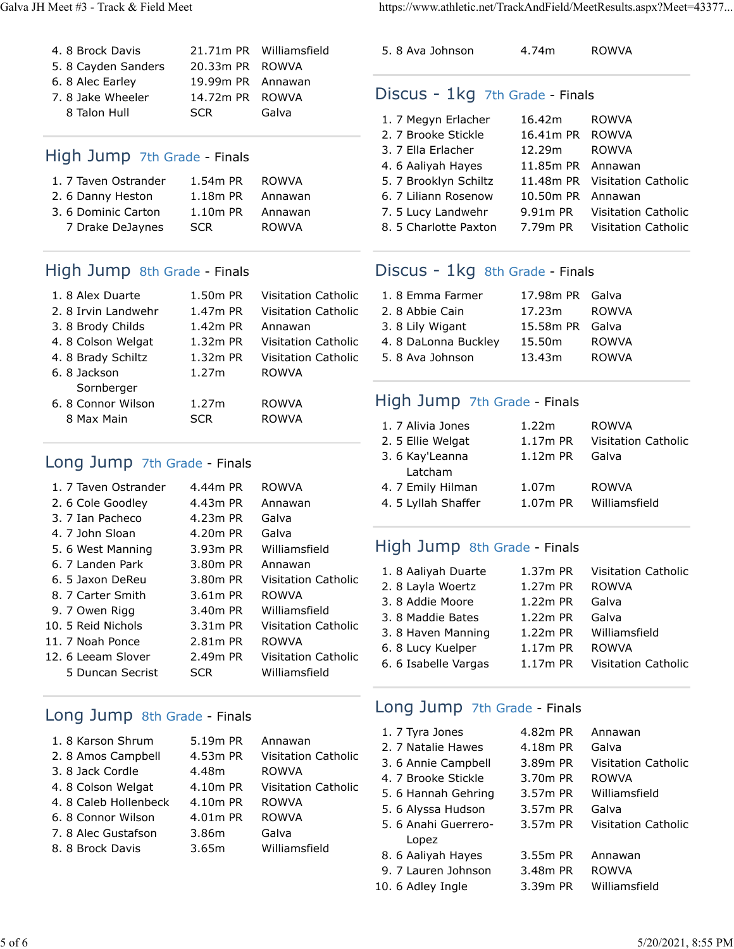| 4.8 Brock Davis    |                   | 21.71m PR Williamsfield |
|--------------------|-------------------|-------------------------|
| 5.8 Cayden Sanders | 20.33m PR ROWVA   |                         |
| 6. 8 Alec Earley   | 19.99m PR Annawan |                         |
| 7.8 Jake Wheeler   | 14.72m PR ROWVA   |                         |
| 8 Talon Hull       | <b>SCR</b>        | Galva                   |

## High Jump 7th Grade - Finals

| 1. 7 Taven Ostrander | 1.54m PR   | <b>ROWVA</b> |
|----------------------|------------|--------------|
| 2. 6 Danny Heston    | 1.18m PR   | Annawan      |
| 3.6 Dominic Carton   | $1.10m$ PR | Annawan      |
| 7 Drake DeJaynes     | <b>SCR</b> | <b>ROWVA</b> |

## High Jump 8th Grade - Finals

| 1.8 Alex Duarte    | 1.50m PR   | <b>Visitation Catholic</b> |
|--------------------|------------|----------------------------|
| 2.8 Irvin Landwehr | 1.47m PR   | <b>Visitation Catholic</b> |
| 3.8 Brody Childs   | 1.42m PR   | Annawan                    |
| 4.8 Colson Welgat  | 1.32m PR   | <b>Visitation Catholic</b> |
| 4.8 Brady Schiltz  | 1.32m PR   | <b>Visitation Catholic</b> |
| 6.8 Jackson        | 1.27m      | <b>ROWVA</b>               |
| Sornberger         |            |                            |
| 6.8 Connor Wilson  | 1.27m      | <b>ROWVA</b>               |
| 8 Max Main         | <b>SCR</b> | <b>ROWVA</b>               |
|                    |            |                            |

## Long Jump 7th Grade - Finals

| 1. 7 Taven Ostrander | 4.44m PR   | <b>ROWVA</b>               |
|----------------------|------------|----------------------------|
| 2. 6 Cole Goodley    | 4.43m PR   | Annawan                    |
| 3. 7 Ian Pacheco     | 4.23m PR   | Galva                      |
| 4. 7 John Sloan      | 4.20m PR   | Galva                      |
| 5.6 West Manning     | 3.93m PR   | Williamsfield              |
| 6. 7 Landen Park     | 3.80m PR   | Annawan                    |
| 6. 5 Jaxon DeReu     | 3.80m PR   | <b>Visitation Catholic</b> |
| 8. 7 Carter Smith    | 3.61m PR   | <b>ROWVA</b>               |
| 9. 7 Owen Rigg       | 3.40m PR   | Williamsfield              |
| 10. 5 Reid Nichols   | 3.31m PR   | <b>Visitation Catholic</b> |
| 11. 7 Noah Ponce     | 2.81m PR   | <b>ROWVA</b>               |
| 12. 6 Leeam Slover   | 2.49m PR   | <b>Visitation Catholic</b> |
| 5 Duncan Secrist     | <b>SCR</b> | Williamsfield              |
|                      |            |                            |

## Long Jump 8th Grade - Finals

| 1.8 Karson Shrum     | 5.19m PR | Annawan                    |
|----------------------|----------|----------------------------|
| 2.8 Amos Campbell    | 4.53m PR | <b>Visitation Catholic</b> |
| 3. 8 Jack Cordle     | 4.48m    | <b>ROWVA</b>               |
| 4.8 Colson Welgat    | 4.10m PR | <b>Visitation Catholic</b> |
| 4.8 Caleb Hollenbeck | 4.10m PR | <b>ROWVA</b>               |
| 6.8 Connor Wilson    | 4.01m PR | <b>ROWVA</b>               |
| 7.8 Alec Gustafson   | 3.86m    | Galva                      |
| 8. 8 Brock Davis     | 3.65m    | Williamsfield              |
|                      |          |                            |

Galva JH Meet #3 - Track & Field Meet https://www.athletic.net/TrackAndField/MeetResults.aspx?Meet=43377...

5. 8 Ava Johnson 4.74m ROWVA

## Discus - 1kg 7th Grade - Finals

| 1. 7 Megyn Erlacher   | 16.42m            | <b>ROWVA</b>                  |
|-----------------------|-------------------|-------------------------------|
| 2. 7 Brooke Stickle   | 16.41m PR ROWVA   |                               |
| 3. 7 Ella Erlacher    | 12.29m            | <b>ROWVA</b>                  |
| 4. 6 Aaliyah Hayes    | 11.85m PR Annawan |                               |
| 5. 7 Brooklyn Schiltz |                   | 11.48m PR Visitation Catholic |
| 6. 7 Liliann Rosenow  | 10.50m PR Annawan |                               |
| 7. 5 Lucy Landwehr    |                   | 9.91m PR Visitation Catholic  |
| 8. 5 Charlotte Paxton |                   | 7.79m PR Visitation Catholic  |

## Discus - 1kg 8th Grade - Finals

| 1.8 Emma Farmer     | 17.98m PR Galva |              |
|---------------------|-----------------|--------------|
| 2.8 Abbie Cain      | 17.23m          | <b>ROWVA</b> |
| 3.8 Lily Wigant     | 15.58m PR Galva |              |
| 4.8 DaLonna Buckley | 15.50m          | <b>ROWVA</b> |
| 5.8 Ava Johnson     | 13.43m          | <b>ROWVA</b> |

## High Jump 7th Grade - Finals

| 1. 7 Alivia Jones   | 1.22m      | <b>ROWVA</b>               |
|---------------------|------------|----------------------------|
| 2. 5 Ellie Welgat   | $1.17m$ PR | <b>Visitation Catholic</b> |
| 3. 6 Kay'Leanna     | 1.12m PR   | Galva                      |
| Latcham             |            |                            |
| 4. 7 Emily Hilman   | 1.07m      | <b>ROWVA</b>               |
| 4. 5 Lyllah Shaffer | 1.07m PR   | Williamsfield              |

## High Jump 8th Grade - Finals

| 1.8 Aaliyah Duarte   | 1.37m PR   | <b>Visitation Catholic</b> |
|----------------------|------------|----------------------------|
| 2.8 Layla Woertz     | 1.27m PR   | <b>ROWVA</b>               |
| 3.8 Addie Moore      | 1.22m PR   | Galva                      |
| 3.8 Maddie Bates     | $1.22m$ PR | Galva                      |
| 3.8 Haven Manning    | 1.22m PR   | Williamsfield              |
| 6. 8 Lucy Kuelper    | $1.17m$ PR | <b>ROWVA</b>               |
| 6. 6 Isabelle Vargas | $1.17m$ PR | <b>Visitation Catholic</b> |
|                      |            |                            |

## Long Jump 7th Grade - Finals

| 1. 7 Tyra Jones      | 4.82m PR | Annawan             |
|----------------------|----------|---------------------|
| 2. 7 Natalie Hawes   | 4.18m PR | Galva               |
| 3. 6 Annie Campbell  | 3.89m PR | Visitation Catholic |
| 4. 7 Brooke Stickle  | 3.70m PR | <b>ROWVA</b>        |
| 5. 6 Hannah Gehring  | 3.57m PR | Williamsfield       |
| 5. 6 Alyssa Hudson   | 3.57m PR | Galva               |
| 5. 6 Anahi Guerrero- | 3.57m PR | Visitation Catholic |
| Lopez                |          |                     |
| 8. 6 Aaliyah Hayes   | 3.55m PR | Annawan             |
| 9. 7 Lauren Johnson  | 3.48m PR | <b>ROWVA</b>        |
| 10. 6 Adley Ingle    | 3.39m PR | Williamsfield       |
|                      |          |                     |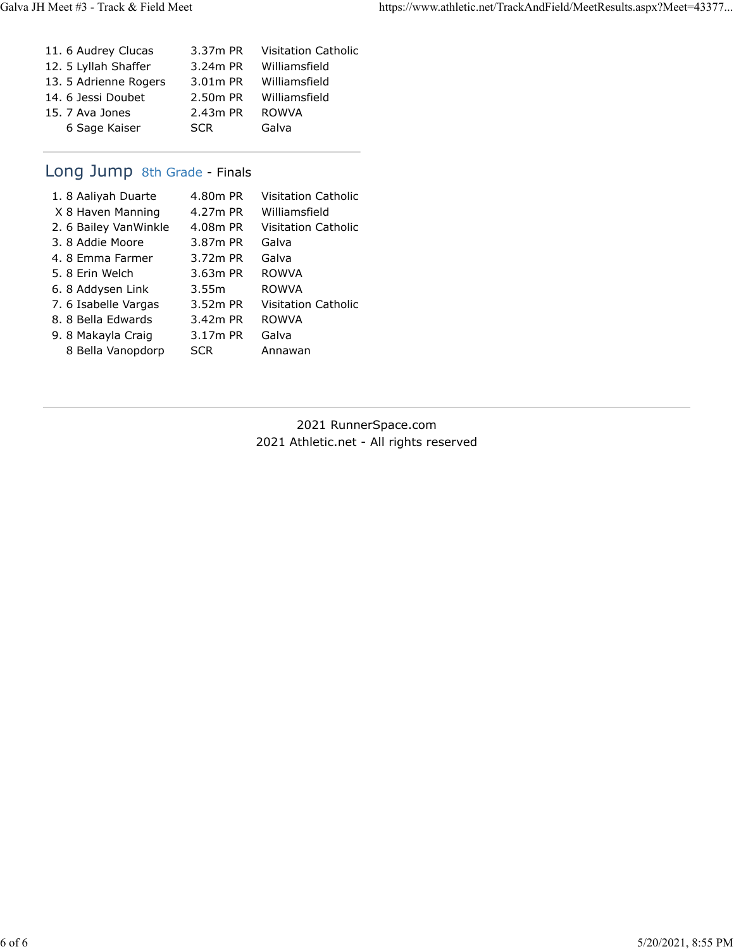| 11. 6 Audrey Clucas   | 3.37m PR   | <b>Visitation Catholic</b> |
|-----------------------|------------|----------------------------|
| 12. 5 Lyllah Shaffer  | 3.24m PR   | Williamsfield              |
| 13. 5 Adrienne Rogers | 3.01m PR   | Williamsfield              |
| 14. 6 Jessi Doubet    | 2.50m PR   | Williamsfield              |
| 15. 7 Ava Jones       | 2.43m PR   | <b>ROWVA</b>               |
| 6 Sage Kaiser         | <b>SCR</b> | Galva                      |
|                       |            |                            |

## Long Jump 8th Grade - Finals

| 1.8 Aaliyah Duarte    | 4.80m PR   | Visitation Catholic |
|-----------------------|------------|---------------------|
| X 8 Haven Manning     | 4.27m PR   | Williamsfield       |
| 2. 6 Bailey VanWinkle | 4.08m PR   | Visitation Catholic |
| 3. 8 Addie Moore      | 3.87m PR   | Galva               |
| 4.8 Emma Farmer       | 3.72m PR   | Galva               |
| 5.8 Erin Welch        | $3.63m$ PR | <b>ROWVA</b>        |
| 6.8 Addysen Link      | 3.55m      | <b>ROWVA</b>        |
| 7. 6 Isabelle Vargas  | 3.52m PR   | Visitation Catholic |
| 8. 8 Bella Edwards    | $3.42m$ PR | <b>ROWVA</b>        |
| 9.8 Makayla Craig     | 3.17m PR   | Galva               |
| 8 Bella Vanopdorp     | <b>SCR</b> | Annawan             |

2021 RunnerSpace.com 2021 Athletic.net - All rights reserved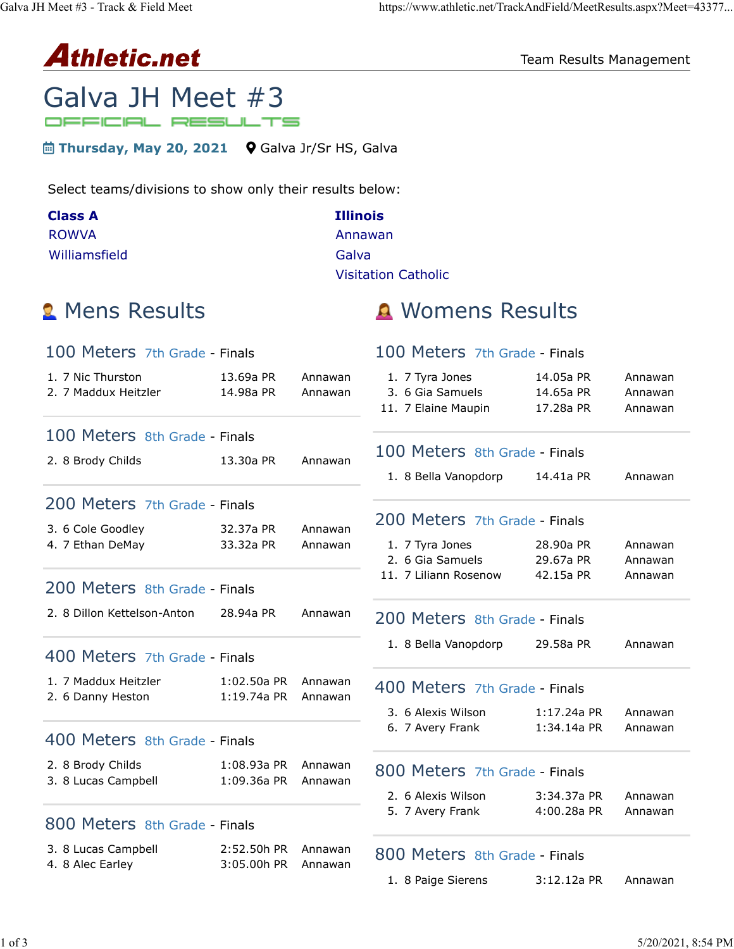# Athletic.net

Team Results Management

## Galva JH Meet #3 OFFICIAL RESULTS

**E** Thursday, May 20, 2021 **Q** Galva Jr/Sr HS, Galva

Select teams/divisions to show only their results below:

| <b>Class A</b> | <b>Illinois</b>            |
|----------------|----------------------------|
| <b>ROWVA</b>   | Annawan                    |
| Williamsfield  | Galva                      |
|                | <b>Visitation Catholic</b> |

# 1. 7 Nic Thurston 13.69a PR Annawan 2. 7 Maddux Heitzler 14.98a PR Annawan 2. 8 Brody Childs 13.30a PR Annawan 3. 6 Cole Goodley 32.37a PR Annawan 4. 7 Ethan DeMay 33.32a PR Annawan 2. 8 Dillon Kettelson-Anton 28.94a PR Annawan 1. 7 Maddux Heitzler 1:02.50a PR Annawan 2. 6 Danny Heston 1:19.74a PR Annawan 2. 8 Brody Childs 1:08.93a PR Annawan 3. 8 Lucas Campbell 1:09.36a PR Annawan 3. 8 Lucas Campbell 2:52.50h PR Annawan 4. 8 Alec Earley 3:05.00h PR Annawan 100 Meters 7th Grade - Finals 100 Meters 8th Grade - Finals 200 Meters 7th Grade - Finals 200 Meters 8th Grade - Finals 400 Meters 7th Grade - Finals 400 Meters 8th Grade - Finals 800 Meters 8th Grade - Finals

# **2** Mens Results **A** Womens Results

## 100 Meters 7th Grade - Finals

| 1. 7 Tyra Jones     | 14.05a PR | Annawan |
|---------------------|-----------|---------|
| 3. 6 Gia Samuels    | 14.65a PR | Annawan |
| 11. 7 Elaine Maupin | 17.28a PR | Annawan |

## 100 Meters 8th Grade - Finals

1. 8 Bella Vanopdorp 14.41a PR Annawan

## 200 Meters 7th Grade - Finals

| 1. 7 Tyra Jones       | 28.90a PR | Annawan |
|-----------------------|-----------|---------|
| 2. 6 Gia Samuels      | 29.67a PR | Annawan |
| 11. 7 Liliann Rosenow | 42.15a PR | Annawan |

## 200 Meters 8th Grade - Finals

1. 8 Bella Vanopdorp 29.58a PR Annawan

## 400 Meters 7th Grade - Finals

| 3. 6 Alexis Wilson | $1:17.24$ a PR | Annawan |
|--------------------|----------------|---------|
| 6. 7 Avery Frank   | 1:34.14a PR    | Annawan |

#### 800 Meters 7th Grade - Finals

| 2. 6 Alexis Wilson | 3:34.37a PR | Annawan |
|--------------------|-------------|---------|
| 5. 7 Avery Frank   | 4:00.28a PR | Annawan |

## 800 Meters 8th Grade - Finals

| 1. 8 Paige Sierens | $3:12.12a$ PR | Annawan |
|--------------------|---------------|---------|
|--------------------|---------------|---------|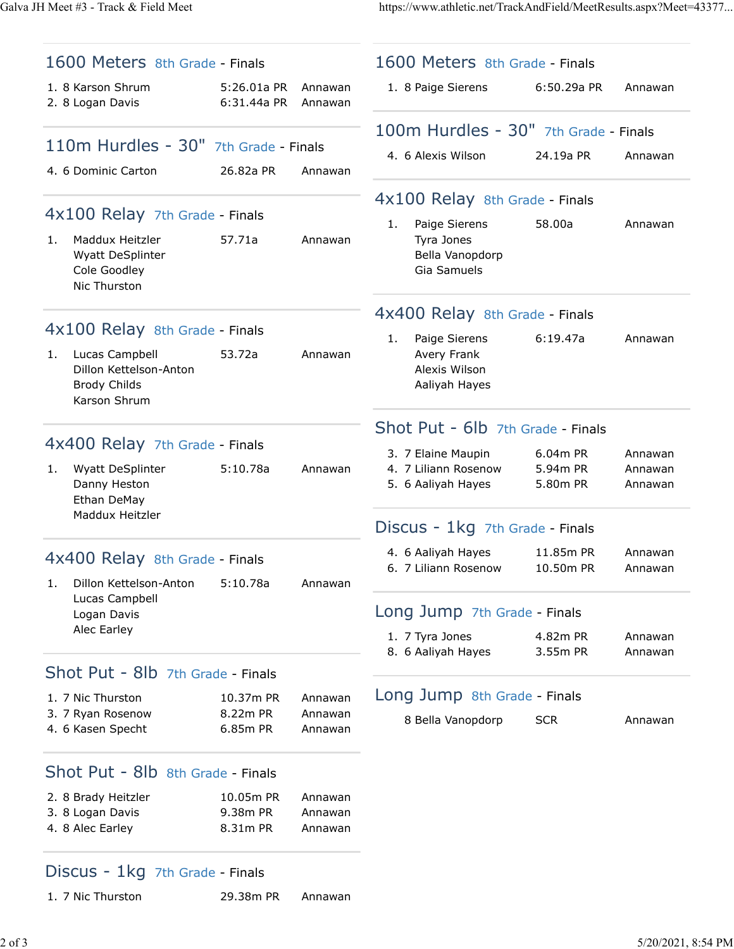Galva JH Meet #3 - Track & Field Meet https://www.athletic.net/TrackAndField/MeetResults.aspx?Meet=43377...

|    | 1600 Meters 8th Grade - Finals                                                                                    |                                   |                               |    | 1600 Meters 8th Grade - Finals                                 |                        |                    |
|----|-------------------------------------------------------------------------------------------------------------------|-----------------------------------|-------------------------------|----|----------------------------------------------------------------|------------------------|--------------------|
|    | 1. 8 Karson Shrum<br>2. 8 Logan Davis                                                                             | 5:26.01a PR<br>6:31.44a PR        | Annawan<br>Annawan            |    | 1. 8 Paige Sierens                                             | 6:50.29a PR            | Annawan            |
|    |                                                                                                                   |                                   |                               |    | 100m Hurdles - 30" 7th Grade - Finals                          |                        |                    |
|    | 110m Hurdles - 30" 7th Grade - Finals<br>4. 6 Dominic Carton                                                      | 26.82a PR                         | Annawan                       |    | 4. 6 Alexis Wilson                                             | 24.19a PR              | Annawan            |
|    |                                                                                                                   |                                   |                               |    | 4x100 Relay 8th Grade - Finals                                 |                        |                    |
|    | 4x100 Relay 7th Grade - Finals                                                                                    |                                   |                               | 1. | Paige Sierens                                                  | 58.00a                 | Annawan            |
| 1. | Maddux Heitzler<br>Wyatt DeSplinter<br>Cole Goodley<br>Nic Thurston                                               | 57.71a                            | Annawan                       |    | Tyra Jones<br>Bella Vanopdorp<br>Gia Samuels                   |                        |                    |
|    |                                                                                                                   |                                   |                               |    | 4x400 Relay 8th Grade - Finals                                 |                        |                    |
| 1. | 4x100 Relay 8th Grade - Finals<br>Lucas Campbell<br>Dillon Kettelson-Anton<br><b>Brody Childs</b><br>Karson Shrum | 53.72a                            | Annawan                       | 1. | Paige Sierens<br>Avery Frank<br>Alexis Wilson<br>Aaliyah Hayes | 6:19.47a               | Annawan            |
|    |                                                                                                                   |                                   |                               |    | Shot Put - 6lb 7th Grade - Finals                              |                        |                    |
|    | 4x400 Relay 7th Grade - Finals                                                                                    |                                   |                               |    | 3. 7 Elaine Maupin                                             | 6.04m PR               | Annawan            |
| 1. | Wyatt DeSplinter<br>Danny Heston<br>Ethan DeMay                                                                   | 5:10.78a                          | Annawan                       |    | 4. 7 Liliann Rosenow<br>5. 6 Aaliyah Hayes                     | 5.94m PR<br>5.80m PR   | Annawan<br>Annawan |
|    | Maddux Heitzler                                                                                                   |                                   |                               |    | Discus - 1kg 7th Grade - Finals                                |                        |                    |
| 1. | 4x400 Relay 8th Grade - Finals<br>Dillon Kettelson-Anton                                                          | 5:10.78a                          | Annawan                       |    | 4. 6 Aaliyah Hayes<br>6. 7 Liliann Rosenow                     | 11.85m PR<br>10.50m PR | Annawan<br>Annawan |
|    | Lucas Campbell<br>Logan Davis                                                                                     |                                   |                               |    | Long Jump 7th Grade - Finals                                   |                        |                    |
|    | Alec Earley                                                                                                       |                                   |                               |    | 1. 7 Tyra Jones                                                | 4.82m PR               | Annawan            |
|    |                                                                                                                   |                                   |                               |    | 8. 6 Aaliyah Hayes                                             | 3.55m PR               | Annawan            |
|    | Shot Put - 8lb 7th Grade - Finals<br>1. 7 Nic Thurston                                                            | 10.37m PR                         | Annawan                       |    | Long Jump 8th Grade - Finals                                   |                        |                    |
|    | 3. 7 Ryan Rosenow<br>4. 6 Kasen Specht                                                                            | 8.22m PR<br>6.85m PR              | Annawan<br>Annawan            |    | 8 Bella Vanopdorp                                              | <b>SCR</b>             | Annawan            |
|    | Shot Put - 8lb 8th Grade - Finals                                                                                 |                                   |                               |    |                                                                |                        |                    |
|    | 2. 8 Brady Heitzler<br>3. 8 Logan Davis<br>4. 8 Alec Earley                                                       | 10.05m PR<br>9.38m PR<br>8.31m PR | Annawan<br>Annawan<br>Annawan |    |                                                                |                        |                    |
|    | Discus - 1kg 7th Grade - Finals                                                                                   |                                   |                               |    |                                                                |                        |                    |

1. 7 Nic Thurston 29.38m PR Annawan